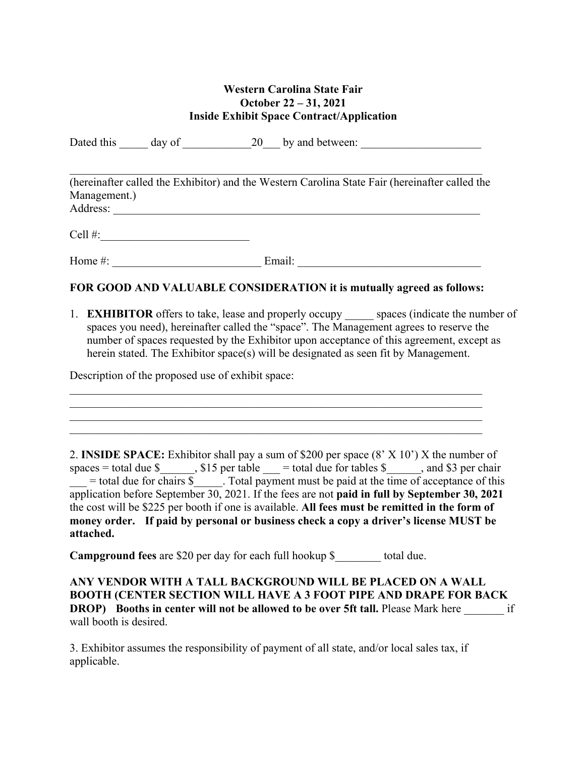## **Western Carolina State Fair October 22 – 31, 2021 Inside Exhibit Space Contract/Application**

Dated this day of 20 by and between:

(hereinafter called the Exhibitor) and the Western Carolina State Fair (hereinafter called the Management.) Address: \_\_\_\_\_\_\_\_\_\_\_\_\_\_\_\_\_\_\_\_\_\_\_\_\_\_\_\_\_\_\_\_\_\_\_\_\_\_\_\_\_\_\_\_\_\_\_\_\_\_\_\_\_\_\_\_\_\_\_\_\_\_\_\_

 $Cell \#:$ 

Home #: \_\_\_\_\_\_\_\_\_\_\_\_\_\_\_\_\_\_\_\_\_\_\_\_\_\_ Email: \_\_\_\_\_\_\_\_\_\_\_\_\_\_\_\_\_\_\_\_\_\_\_\_\_\_\_\_\_\_\_\_

## **FOR GOOD AND VALUABLE CONSIDERATION it is mutually agreed as follows:**

1. **EXHIBITOR** offers to take, lease and properly occupy spaces (indicate the number of spaces you need), hereinafter called the "space". The Management agrees to reserve the number of spaces requested by the Exhibitor upon acceptance of this agreement, except as herein stated. The Exhibitor space(s) will be designated as seen fit by Management.

Description of the proposed use of exhibit space:

2. **INSIDE SPACE:** Exhibitor shall pay a sum of \$200 per space (8' X 10') X the number of spaces = total due  $\frac{\gamma}{2}$ , \$15 per table  $\gamma$  = total due for tables  $\gamma$  , and \$3 per chair  $\frac{1}{\sqrt{1-\frac{1}{n}}}\$  = total due for chairs  $\frac{1}{\sqrt{2}}$ . Total payment must be paid at the time of acceptance of this application before September 30, 2021. If the fees are not **paid in full by September 30, 2021** the cost will be \$225 per booth if one is available. **All fees must be remitted in the form of money order. If paid by personal or business check a copy a driver's license MUST be attached.**

**Campground fees** are \$20 per day for each full hookup \$ total due.

**ANY VENDOR WITH A TALL BACKGROUND WILL BE PLACED ON A WALL BOOTH (CENTER SECTION WILL HAVE A 3 FOOT PIPE AND DRAPE FOR BACK DROP)** Booths in center will not be allowed to be over 5ft tall. Please Mark here if wall booth is desired.

3. Exhibitor assumes the responsibility of payment of all state, and/or local sales tax, if applicable.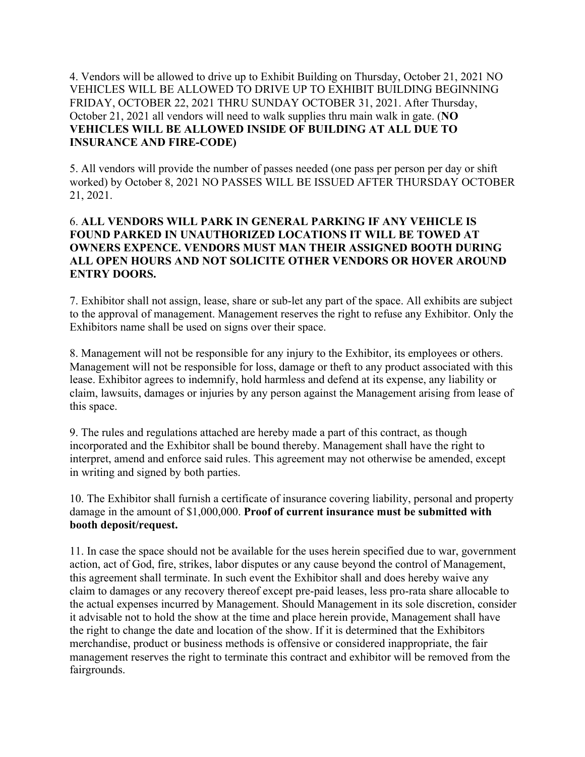4. Vendors will be allowed to drive up to Exhibit Building on Thursday, October 21, 2021 NO VEHICLES WILL BE ALLOWED TO DRIVE UP TO EXHIBIT BUILDING BEGINNING FRIDAY, OCTOBER 22, 2021 THRU SUNDAY OCTOBER 31, 2021. After Thursday, October 21, 2021 all vendors will need to walk supplies thru main walk in gate. (**NO VEHICLES WILL BE ALLOWED INSIDE OF BUILDING AT ALL DUE TO INSURANCE AND FIRE-CODE)**

5. All vendors will provide the number of passes needed (one pass per person per day or shift worked) by October 8, 2021 NO PASSES WILL BE ISSUED AFTER THURSDAY OCTOBER 21, 2021.

## 6. **ALL VENDORS WILL PARK IN GENERAL PARKING IF ANY VEHICLE IS FOUND PARKED IN UNAUTHORIZED LOCATIONS IT WILL BE TOWED AT OWNERS EXPENCE. VENDORS MUST MAN THEIR ASSIGNED BOOTH DURING ALL OPEN HOURS AND NOT SOLICITE OTHER VENDORS OR HOVER AROUND ENTRY DOORS.**

7. Exhibitor shall not assign, lease, share or sub-let any part of the space. All exhibits are subject to the approval of management. Management reserves the right to refuse any Exhibitor. Only the Exhibitors name shall be used on signs over their space.

8. Management will not be responsible for any injury to the Exhibitor, its employees or others. Management will not be responsible for loss, damage or theft to any product associated with this lease. Exhibitor agrees to indemnify, hold harmless and defend at its expense, any liability or claim, lawsuits, damages or injuries by any person against the Management arising from lease of this space.

9. The rules and regulations attached are hereby made a part of this contract, as though incorporated and the Exhibitor shall be bound thereby. Management shall have the right to interpret, amend and enforce said rules. This agreement may not otherwise be amended, except in writing and signed by both parties.

10. The Exhibitor shall furnish a certificate of insurance covering liability, personal and property damage in the amount of \$1,000,000. **Proof of current insurance must be submitted with booth deposit/request.**

11. In case the space should not be available for the uses herein specified due to war, government action, act of God, fire, strikes, labor disputes or any cause beyond the control of Management, this agreement shall terminate. In such event the Exhibitor shall and does hereby waive any claim to damages or any recovery thereof except pre-paid leases, less pro-rata share allocable to the actual expenses incurred by Management. Should Management in its sole discretion, consider it advisable not to hold the show at the time and place herein provide, Management shall have the right to change the date and location of the show. If it is determined that the Exhibitors merchandise, product or business methods is offensive or considered inappropriate, the fair management reserves the right to terminate this contract and exhibitor will be removed from the fairgrounds.